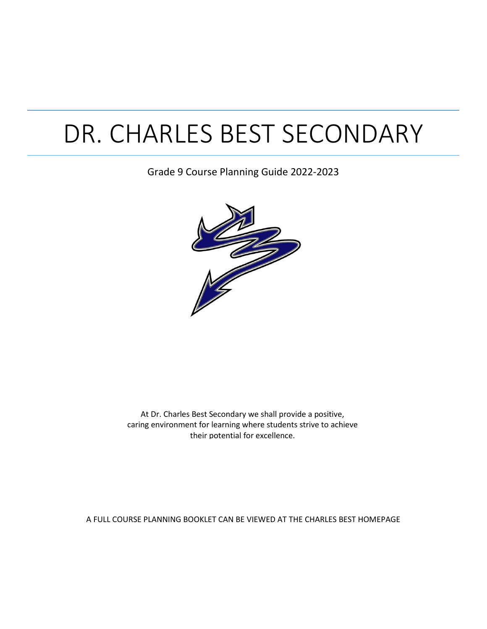# DR. CHARLES BEST SECONDARY

### Grade 9 Course Planning Guide 2022-2023



At Dr. Charles Best Secondary we shall provide a positive, caring environment for learning where students strive to achieve their potential for excellence.

A FULL COURSE PLANNING BOOKLET CAN BE VIEWED AT THE CHARLES BEST HOMEPAGE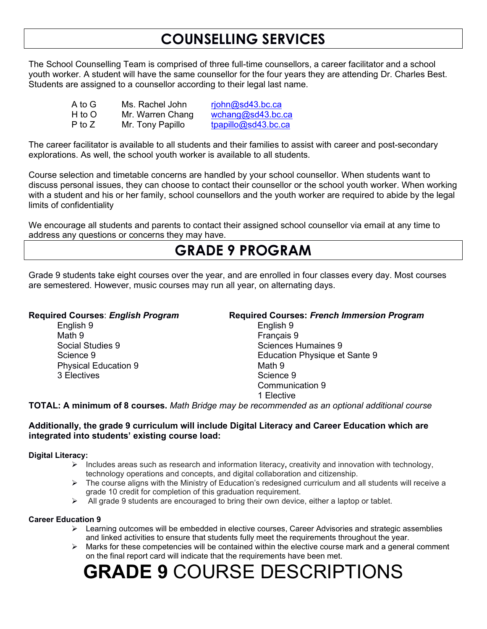### **COUNSELLING SERVICES**

The School Counselling Team is comprised of three full-time counsellors, a career facilitator and a school youth worker. A student will have the same counsellor for the four years they are attending Dr. Charles Best. Students are assigned to a counsellor according to their legal last name.

| A to G | Ms. Rachel John  | ripbn@sd43.bc.ca    |
|--------|------------------|---------------------|
| H to O | Mr. Warren Chang | wchang@sd43.bc.ca   |
| P to Z | Mr. Tony Papillo | tpapillo@sd43.bc.ca |

The career facilitator is available to all students and their families to assist with career and post-secondary explorations. As well, the school youth worker is available to all students.

Course selection and timetable concerns are handled by your school counsellor. When students want to discuss personal issues, they can choose to contact their counsellor or the school youth worker. When working with a student and his or her family, school counsellors and the youth worker are required to abide by the legal limits of confidentiality

We encourage all students and parents to contact their assigned school counsellor via email at any time to address any questions or concerns they may have.

### **GRADE 9 PROGRAM**

Grade 9 students take eight courses over the year, and are enrolled in four classes every day. Most courses are semestered. However, music courses may run all year, on alternating days.

English 9 English 9 Math 9 Français 9<br>Social Studies 9 Français 9 Physical Education 9 Math 9 3 Electives and the set of the Science 9 Science 9

#### **Required Courses**: *English Program* **Required Courses:** *French Immersion Program*

Sciences Humaines 9 Science 9 Education Physique et Sante 9 Communication 9 1 Elective

**TOTAL: A minimum of 8 courses.** *Math Bridge may be recommended as an optional additional course*

#### **Additionally, the grade 9 curriculum will include Digital Literacy and Career Education which are integrated into students' existing course load:**

#### **Digital Literacy:**

- Includes areas such as research and information literacy**,** creativity and innovation with technology, technology operations and concepts, and digital collaboration and citizenship.
- $\triangleright$  The course aligns with the Ministry of Education's redesigned curriculum and all students will receive a grade 10 credit for completion of this graduation requirement.
- $\triangleright$  All grade 9 students are encouraged to bring their own device, either a laptop or tablet.

#### **Career Education 9**

- $\triangleright$  Learning outcomes will be embedded in elective courses, Career Advisories and strategic assemblies and linked activities to ensure that students fully meet the requirements throughout the year.
- $\triangleright$  Marks for these competencies will be contained within the elective course mark and a general comment on the final report card will indicate that the requirements have been met.

## **GRADE 9** COURSE DESCRIPTIONS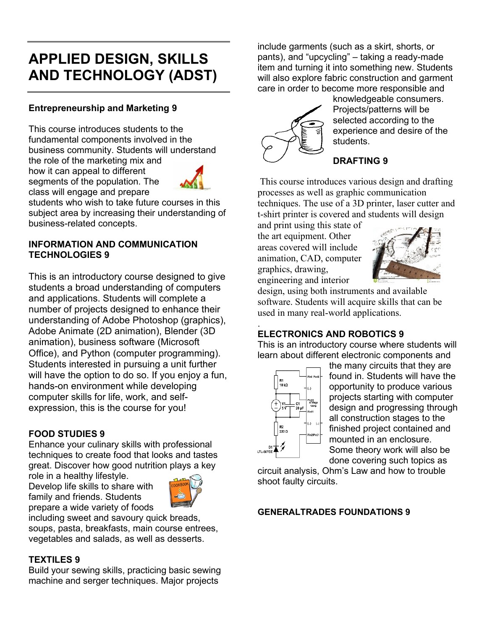### **APPLIED DESIGN, SKILLS AND TECHNOLOGY (ADST)**

#### **Entrepreneurship and Marketing 9**

This course introduces students to the fundamental components involved in the business community. Students will understand the role of the marketing mix and how it can appeal to different segments of the population. The class will engage and prepare



students who wish to take future courses in this subject area by increasing their understanding of business-related concepts.

#### **INFORMATION AND COMMUNICATION TECHNOLOGIES 9**

This is an introductory course designed to give students a broad understanding of computers and applications. Students will complete a number of projects designed to enhance their understanding of Adobe Photoshop (graphics), Adobe Animate (2D animation), Blender (3D animation), business software (Microsoft Office), and Python (computer programming). Students interested in pursuing a unit further will have the option to do so. If you enjoy a fun, hands-on environment while developing computer skills for life, work, and selfexpression, this is the course for you!

#### **FOOD STUDIES 9**

Enhance your culinary skills with professional techniques to create food that looks and tastes great. Discover how good nutrition plays a key

role in a healthy lifestyle. Develop life skills to share with family and friends. Students prepare a wide variety of foods



including sweet and savoury quick breads, soups, pasta, breakfasts, main course entrees, vegetables and salads, as well as desserts.

#### **TEXTILES 9**

Build your sewing skills, practicing basic sewing machine and serger techniques. Major projects

include garments (such as a skirt, shorts, or pants), and "upcycling" – taking a ready-made item and turning it into something new. Students will also explore fabric construction and garment care in order to become more responsible and



knowledgeable consumers. Projects/patterns will be selected according to the experience and desire of the students.

### **DRAFTING 9**

This course introduces various design and drafting processes as well as graphic communication techniques. The use of a 3D printer, laser cutter and t-shirt printer is covered and students will design

and print using this state of the art equipment. Other areas covered will include animation, CAD, computer graphics, drawing, engineering and interior



design, using both instruments and available software. Students will acquire skills that can be used in many real-world applications.

#### . **ELECTRONICS AND ROBOTICS 9**

This is an introductory course where students will learn about different electronic components and



the many circuits that they are found in. Students will have the opportunity to produce various projects starting with computer design and progressing through all construction stages to the finished project contained and mounted in an enclosure. Some theory work will also be

done covering such topics as

circuit analysis, Ohm's Law and how to trouble shoot faulty circuits.

#### **GENERALTRADES FOUNDATIONS 9**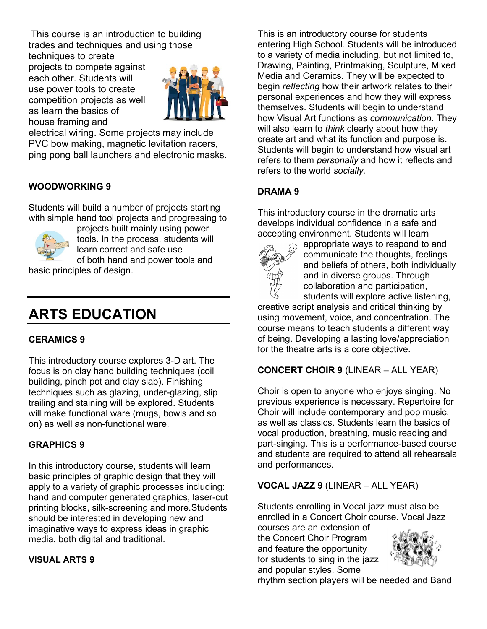This course is an introduction to building trades and techniques and using those

techniques to create projects to compete against each other. Students will use power tools to create competition projects as well as learn the basics of house framing and



electrical wiring. Some projects may include PVC bow making, magnetic levitation racers, ping pong ball launchers and electronic masks.

#### **WOODWORKING 9**

Students will build a number of projects starting with simple hand tool projects and progressing to



projects built mainly using power tools. In the process, students will learn correct and safe use

of both hand and power tools and

basic principles of design.

### **ARTS EDUCATION**

#### **CERAMICS 9**

This introductory course explores 3-D art. The focus is on clay hand building techniques (coil building, pinch pot and clay slab). Finishing techniques such as glazing, under-glazing, slip trailing and staining will be explored. Students will make functional ware (mugs, bowls and so on) as well as non-functional ware.

#### **GRAPHICS 9**

In this introductory course, students will learn basic principles of graphic design that they will apply to a variety of graphic processes including: hand and computer generated graphics, laser-cut printing blocks, silk-screening and more.Students should be interested in developing new and imaginative ways to express ideas in graphic media, both digital and traditional.

#### **VISUAL ARTS 9**

This is an introductory course for students entering High School. Students will be introduced to a variety of media including, but not limited to, Drawing, Painting, Printmaking, Sculpture, Mixed Media and Ceramics. They will be expected to begin *reflecting* how their artwork relates to their personal experiences and how they will express themselves. Students will begin to understand how Visual Art functions as *communication*. They will also learn to *think* clearly about how they create art and what its function and purpose is. Students will begin to understand how visual art refers to them *personally* and how it reflects and refers to the world *socially.*

#### **DRAMA 9**

This introductory course in the dramatic arts develops individual confidence in a safe and accepting environment. Students will learn



appropriate ways to respond to and communicate the thoughts, feelings and beliefs of others, both individually and in diverse groups. Through collaboration and participation, students will explore active listening,

creative script analysis and critical thinking by using movement, voice, and concentration. The course means to teach students a different way of being. Developing a lasting love/appreciation for the theatre arts is a core objective.

#### **CONCERT CHOIR 9** (LINEAR – ALL YEAR)

Choir is open to anyone who enjoys singing. No previous experience is necessary. Repertoire for Choir will include contemporary and pop music, as well as classics. Students learn the basics of vocal production, breathing, music reading and part-singing. This is a performance-based course and students are required to attend all rehearsals and performances.

#### **VOCAL JAZZ 9** (LINEAR – ALL YEAR)

Students enrolling in Vocal jazz must also be enrolled in a Concert Choir course. Vocal Jazz

courses are an extension of the Concert Choir Program and feature the opportunity for students to sing in the jazz and popular styles. Some



rhythm section players will be needed and Band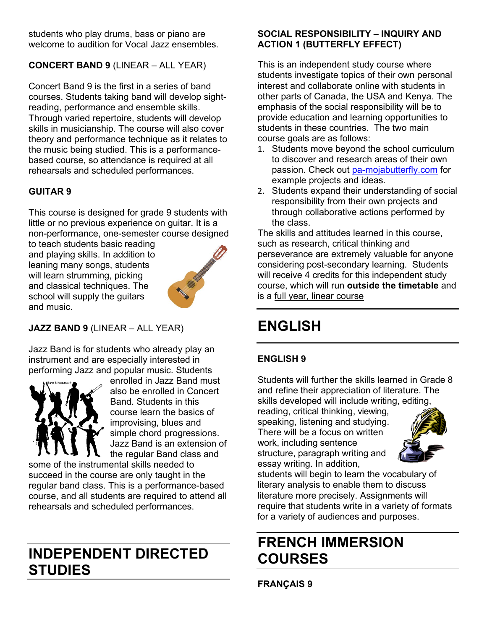students who play drums, bass or piano are welcome to audition for Vocal Jazz ensembles.

#### **CONCERT BAND 9** (LINEAR – ALL YEAR)

Concert Band 9 is the first in a series of band courses. Students taking band will develop sightreading, performance and ensemble skills. Through varied repertoire, students will develop skills in musicianship. The course will also cover theory and performance technique as it relates to the music being studied. This is a performancebased course, so attendance is required at all rehearsals and scheduled performances.

#### **GUITAR 9**

This course is designed for grade 9 students with little or no previous experience on guitar. It is a non-performance, one-semester course designed

to teach students basic reading and playing skills. In addition to leaning many songs, students will learn strumming, picking and classical techniques. The school will supply the guitars and music.



#### **JAZZ BAND 9** (LINEAR – ALL YEAR)

Jazz Band is for students who already play an instrument and are especially interested in performing Jazz and popular music. Students



enrolled in Jazz Band must also be enrolled in Concert Band. Students in this course learn the basics of improvising, blues and simple chord progressions. Jazz Band is an extension of the regular Band class and

some of the instrumental skills needed to succeed in the course are only taught in the regular band class. This is a performance-based course, and all students are required to attend all rehearsals and scheduled performances.

### **INDEPENDENT DIRECTED STUDIES**

#### **SOCIAL RESPONSIBILITY – INQUIRY AND ACTION 1 (BUTTERFLY EFFECT)**

This is an independent study course where students investigate topics of their own personal interest and collaborate online with students in other parts of Canada, the USA and Kenya. The emphasis of the social responsibility will be to provide education and learning opportunities to students in these countries. The two main course goals are as follows:

- 1. Students move beyond the school curriculum to discover and research areas of their own passion. Check out [pa-mojabutterfly.com](http://www.pa-mojabutterfly.com/) for example projects and ideas.
- 2. Students expand their understanding of social responsibility from their own projects and through collaborative actions performed by the class.

The skills and attitudes learned in this course, such as research, critical thinking and perseverance are extremely valuable for anyone considering post-secondary learning. Students will receive 4 credits for this independent study course, which will run **outside the timetable** and is a full year, linear course

### **ENGLISH**

#### **ENGLISH 9**

Students will further the skills learned in Grade 8 and refine their appreciation of literature. The skills developed will include writing, editing,

reading, critical thinking, viewing, speaking, listening and studying. There will be a focus on written work, including sentence structure, paragraph writing and essay writing. In addition,



students will begin to learn the vocabulary of literary analysis to enable them to discuss literature more precisely. Assignments will require that students write in a variety of formats for a variety of audiences and purposes.

### **FRENCH IMMERSION COURSES**

**FRANÇAIS 9**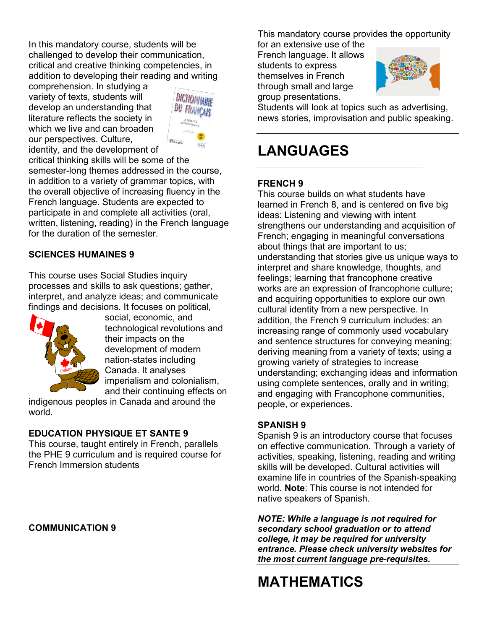In this mandatory course, students will be challenged to develop their communication, critical and creative thinking competencies, in addition to developing their reading and writing

comprehension. In studying a variety of texts, students will develop an understanding that literature reflects the society in which we live and can broaden our perspectives. Culture, identity, and the development of



critical thinking skills will be some of the semester-long themes addressed in the course, in addition to a variety of grammar topics, with the overall objective of increasing fluency in the French language. Students are expected to participate in and complete all activities (oral, written, listening, reading) in the French language for the duration of the semester.

#### **SCIENCES HUMAINES 9**

This course uses Social Studies inquiry processes and skills to ask questions; gather, interpret, and analyze ideas; and communicate findings and decisions. It focuses on political,



social, economic, and technological revolutions and their impacts on the development of modern nation-states including Canada. It analyses imperialism and colonialism, and their continuing effects on

indigenous peoples in Canada and around the world.

#### **EDUCATION PHYSIQUE ET SANTE 9**

This course, taught entirely in French, parallels the PHE 9 curriculum and is required course for French Immersion students

#### **COMMUNICATION 9**

This mandatory course provides the opportunity

for an extensive use of the French language. It allows students to express themselves in French through small and large group presentations.



Students will look at topics such as advertising, news stories, improvisation and public speaking.

### **LANGUAGES**

#### **FRENCH 9**

This course builds on what students have learned in French 8, and is centered on five big ideas: Listening and viewing with intent strengthens our understanding and acquisition of French; engaging in meaningful conversations about things that are important to us; understanding that stories give us unique ways to interpret and share knowledge, thoughts, and feelings; learning that francophone creative works are an expression of francophone culture; and acquiring opportunities to explore our own cultural identity from a new perspective. In addition, the French 9 curriculum includes: an increasing range of commonly used vocabulary and sentence structures for conveying meaning; deriving meaning from a variety of texts; using a growing variety of strategies to increase understanding; exchanging ideas and information using complete sentences, orally and in writing; and engaging with Francophone communities, people, or experiences.

#### **SPANISH 9**

Spanish 9 is an introductory course that focuses on effective communication. Through a variety of activities, speaking, listening, reading and writing skills will be developed. Cultural activities will examine life in countries of the Spanish-speaking world. **Note**: This course is not intended for native speakers of Spanish.

*NOTE: While a language is not required for secondary school graduation or to attend college, it may be required for university entrance. Please check university websites for the most current language pre-requisites***.**

### **MATHEMATICS**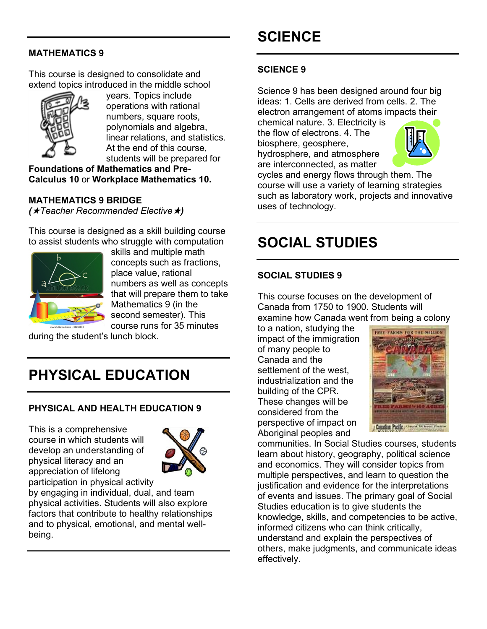### **SCIENCE**

#### **MATHEMATICS 9**

This course is designed to consolidate and extend topics introduced in the middle school



years. Topics include operations with rational numbers, square roots, polynomials and algebra, linear relations, and statistics. At the end of this course, students will be prepared for

**Foundations of Mathematics and Pre-Calculus 10** or **Workplace Mathematics 10.**

#### **MATHEMATICS 9 BRIDGE**

*(Teacher Recommended Elective)*

This course is designed as a skill building course to assist students who struggle with computation



skills and multiple math concepts such as fractions, place value, rational numbers as well as concepts that will prepare them to take Mathematics 9 (in the second semester). This course runs for 35 minutes

during the student's lunch block.

### **PHYSICAL EDUCATION**

### **PHYSICAL AND HEALTH EDUCATION 9**

This is a comprehensive course in which students will develop an understanding of physical literacy and an appreciation of lifelong participation in physical activity



by engaging in individual, dual, and team physical activities. Students will also explore factors that contribute to healthy relationships and to physical, emotional, and mental wellbeing.

#### **SCIENCE 9**

Science 9 has been designed around four big ideas: 1. Cells are derived from cells. 2. The electron arrangement of atoms impacts their

chemical nature. 3. Electricity is the flow of electrons. 4. The biosphere, geosphere,

hydrosphere, and atmosphere are interconnected, as matter



cycles and energy flows through them. The course will use a variety of learning strategies such as laboratory work, projects and innovative uses of technology.

### **SOCIAL STUDIES**

#### **SOCIAL STUDIES 9**

This course focuses on the development of Canada from 1750 to 1900. Students will examine how Canada went from being a colony

to a nation, studying the impact of the immigration of many people to Canada and the settlement of the west, industrialization and the building of the CPR. These changes will be considered from the perspective of impact on Aboriginal peoples and



communities. In Social Studies courses, students learn about history, geography, political science and economics. They will consider topics from multiple perspectives, and learn to question the justification and evidence for the interpretations of events and issues. The primary goal of Social Studies education is to give students the knowledge, skills, and competencies to be active, informed citizens who can think critically, understand and explain the perspectives of others, make judgments, and communicate ideas effectively.